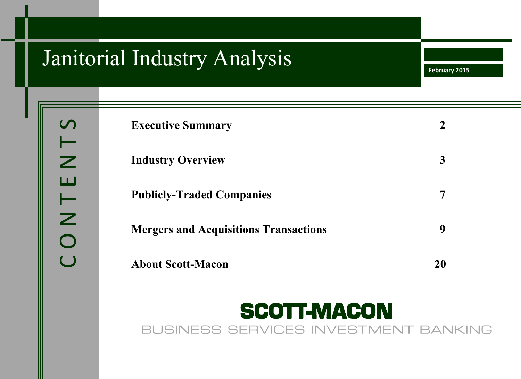# Janitorial Industry Analysis

**February 2015**

| <b>Executive Summary</b>                     |    |
|----------------------------------------------|----|
| <b>Industry Overview</b>                     | 3  |
| <b>Publicly-Traded Companies</b>             |    |
| <b>Mergers and Acquisitions Transactions</b> | 9  |
| <b>About Scott-Macon</b>                     | 20 |

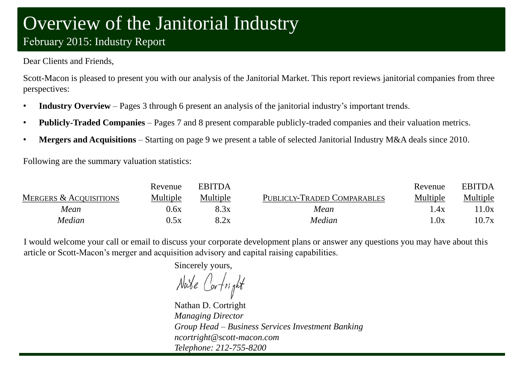# Overview of the Janitorial Industry February 2015: Industry Report

### Dear Clients and Friends,

Scott-Macon is pleased to present you with our analysis of the Janitorial Market. This report reviews janitorial companies from three perspectives:

- **Industry Overview** Pages 3 through 6 present an analysis of the janitorial industry's important trends.
- **Publicly-Traded Companies** Pages 7 and 8 present comparable publicly-traded companies and their valuation metrics.
- **Mergers and Acquisitions** Starting on page 9 we present a table of selected Janitorial Industry M&A deals since 2010.

Following are the summary valuation statistics:

|                                   | Revenue  | <b>EBITDA</b> |                             | Revenue  | <b>EBITDA</b> |
|-----------------------------------|----------|---------------|-----------------------------|----------|---------------|
| <b>MERGERS &amp; ACQUISITIONS</b> | Multiple | Multiple      | PUBLICLY-TRADED COMPARABLES | Multiple | Multiple      |
| Mean                              | 0.6x     | 8.3x          | Mean                        | .4x      | 1.0x          |
| Median                            | 0.5x     | $9x \sim$     | Median                      | .0x      | 10.7x         |

I would welcome your call or email to discuss your corporate development plans or answer any questions you may have about this article or Scott-Macon's merger and acquisition advisory and capital raising capabilities.

Sincerely yours,

Nabe Cortright

Nathan D. Cortright *Managing Director Group Head – Business Services Investment Banking ncortright@scott-macon.com Telephone: 212-755-8200*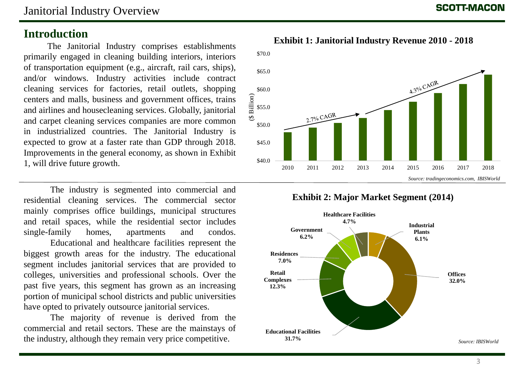### **Introduction**

The Janitorial Industry comprises establishments primarily engaged in cleaning building interiors, interiors of transportation equipment (e.g., aircraft, rail cars, ships), and/or windows. Industry activities include contract cleaning services for factories, retail outlets, shopping centers and malls, business and government offices, trains and airlines and housecleaning services. Globally, janitorial and carpet cleaning services companies are more common in industrialized countries. The Janitorial Industry is expected to grow at a faster rate than GDP through 2018. Improvements in the general economy, as shown in Exhibit 1, will drive future growth.

The industry is segmented into commercial and residential cleaning services. The commercial sector mainly comprises office buildings, municipal structures and retail spaces, while the residential sector includes single-family homes, apartments and condos.

Educational and healthcare facilities represent the biggest growth areas for the industry. The educational segment includes janitorial services that are provided to colleges, universities and professional schools. Over the past five years, this segment has grown as an increasing portion of municipal school districts and public universities have opted to privately outsource janitorial services.

The majority of revenue is derived from the commercial and retail sectors. These are the mainstays of the industry, although they remain very price competitive.

### **Exhibit 1: Janitorial Industry Revenue 2010 - 2018**



**Exhibit 2: Major Market Segment (2014)**

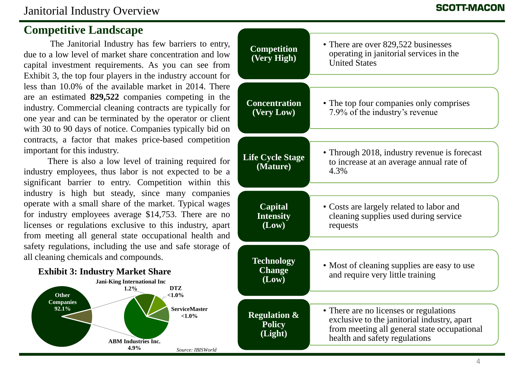### **Competitive Landscape**

The Janitorial Industry has few barriers to entry, due to a low level of market share concentration and low capital investment requirements. As you can see from Exhibit 3, the top four players in the industry account for less than 10.0% of the available market in 2014. There are an estimated **829,522** companies competing in the industry. Commercial cleaning contracts are typically for one year and can be terminated by the operator or client with 30 to 90 days of notice. Companies typically bid on contracts, a factor that makes price-based competition important for this industry.

There is also a low level of training required for industry employees, thus labor is not expected to be a significant barrier to entry. Competition within this industry is high but steady, since many companies operate with a small share of the market. Typical wages for industry employees average \$14,753. There are no licenses or regulations exclusive to this industry, apart from meeting all general state occupational health and safety regulations, including the use and safe storage of all cleaning chemicals and compounds.



| ,      | <b>Competition</b><br>(Very High)                   | • There are over 829,522 businesses<br>operating in janitorial services in the<br><b>United States</b>                                                                |
|--------|-----------------------------------------------------|-----------------------------------------------------------------------------------------------------------------------------------------------------------------------|
|        | <b>Concentration</b><br>(Very Low)                  | • The top four companies only comprises<br>7.9% of the industry's revenue                                                                                             |
| ŕ<br>ì | <b>Life Cycle Stage</b><br>(Mature)                 | • Through 2018, industry revenue is forecast<br>to increase at an average annual rate of<br>4.3%                                                                      |
|        | <b>Capital</b><br><b>Intensity</b><br>(Low)         | • Costs are largely related to labor and<br>cleaning supplies used during service<br>requests                                                                         |
|        | <b>Technology</b><br><b>Change</b><br>(Low)         | • Most of cleaning supplies are easy to use<br>and require very little training                                                                                       |
|        | <b>Regulation &amp;</b><br><b>Policy</b><br>(Light) | • There are no licenses or regulations<br>exclusive to the janitorial industry, apart<br>from meeting all general state occupational<br>health and safety regulations |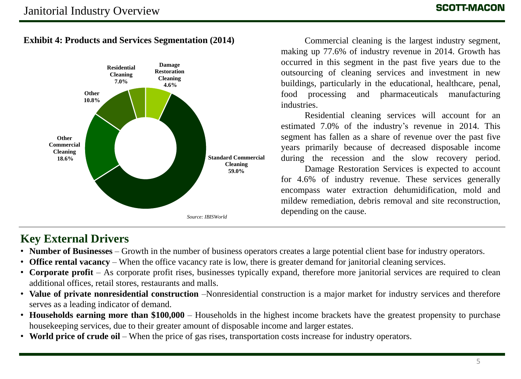**Exhibit 4: Products and Services Segmentation (2014)**



Commercial cleaning is the largest industry segment, making up 77.6% of industry revenue in 2014. Growth has occurred in this segment in the past five years due to the outsourcing of cleaning services and investment in new buildings, particularly in the educational, healthcare, penal, food processing and pharmaceuticals manufacturing industries.

Residential cleaning services will account for an estimated 7.0% of the industry's revenue in 2014. This segment has fallen as a share of revenue over the past five years primarily because of decreased disposable income during the recession and the slow recovery period.

Damage Restoration Services is expected to account for 4.6% of industry revenue. These services generally encompass water extraction dehumidification, mold and mildew remediation, debris removal and site reconstruction, depending on the cause.

### **Key External Drivers**

- **Number of Businesses** Growth in the number of business operators creates a large potential client base for industry operators.
- **Office rental vacancy** When the office vacancy rate is low, there is greater demand for janitorial cleaning services.
- **Corporate profit** As corporate profit rises, businesses typically expand, therefore more janitorial services are required to clean additional offices, retail stores, restaurants and malls.
- **Value of private nonresidential construction** –Nonresidential construction is a major market for industry services and therefore serves as a leading indicator of demand.
- **Households earning more than \$100,000** Households in the highest income brackets have the greatest propensity to purchase housekeeping services, due to their greater amount of disposable income and larger estates.
- **World price of crude oil** When the price of gas rises, transportation costs increase for industry operators.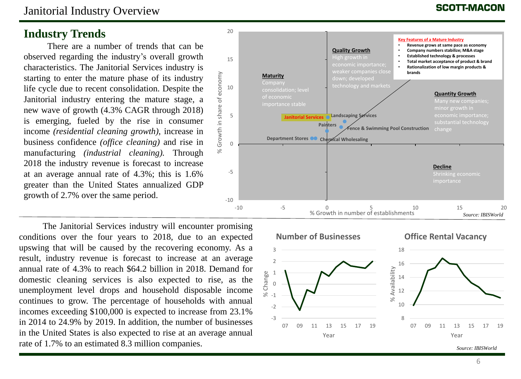### Janitorial Industry Overview

### **Industry Trends**

There are a number of trends that can be observed regarding the industry's overall growth characteristics. The Janitorial Services industry is starting to enter the mature phase of its industry life cycle due to recent consolidation. Despite the Janitorial industry entering the mature stage, a new wave of growth (4.3% CAGR through 2018) is emerging, fueled by the rise in consumer income *(residential cleaning growth)*, increase in business confidence *(office cleaning)* and rise in manufacturing *(industrial cleaning).* Through 2018 the industry revenue is forecast to increase at an average annual rate of 4.3%; this is 1.6% greater than the United States annualized GDP growth of 2.7% over the same period.

The Janitorial Services industry will encounter promising conditions over the four years to 2018, due to an expected upswing that will be caused by the recovering economy. As a result, industry revenue is forecast to increase at an average annual rate of 4.3% to reach \$64.2 billion in 2018. Demand for domestic cleaning services is also expected to rise, as the unemployment level drops and household disposable income continues to grow. The percentage of households with annual incomes exceeding \$100,000 is expected to increase from 23.1% in 2014 to 24.9% by 2019. In addition, the number of businesses in the United States is also expected to rise at an average annual rate of 1.7% to an estimated 8.3 million companies.

### **SCOTT-MACON**



20

-3 -2 -1 0 % Change<br>-1<br>-1 2 3 07 09 11 13 15 17 19 Year **Number of Businesses** 8 10 12 14 16 18 07 09 11 13 15 17 19 % Availability Year **Office Rental Vacancy**

*Source: IBISWorld*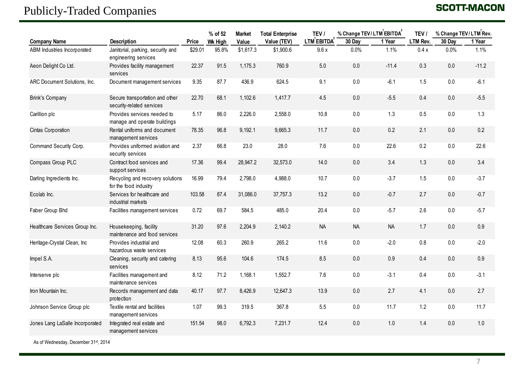## Publicly-Traded Companies

### **SCOTT-MACON**

|                                 |                                                              |         | % of 52        | <b>Market</b> | <b>Total Enterprise</b> | TEV /             | % Change TEV/LTM EBITDA |           | TEV /    | % Change TEV/LTM Rev. |         |
|---------------------------------|--------------------------------------------------------------|---------|----------------|---------------|-------------------------|-------------------|-------------------------|-----------|----------|-----------------------|---------|
| <b>Company Name</b>             | <b>Description</b>                                           | Price   | <b>Wk High</b> | Value         | Value (TEV)             | <b>LTM EBITDA</b> | 30 Day                  | 1 Year    | LTM Rev. | 30 Day                | 1 Year  |
| ABM Industries Incorporated     | Janitorial, parking, security and<br>engineering services    | \$29.01 | 95.8%          | \$1,617.3     | \$1,900.6               | 9.6x              | 0.0%                    | 1.1%      | 0.4x     | 0.0%                  | 1.1%    |
| Aeon Delight Co Ltd.            | Provides facility management<br>services                     | 22.37   | 91.5           | 1,175.3       | 760.9                   | 5.0               | 0.0                     | $-11.4$   | 0.3      | 0.0                   | $-11.2$ |
| ARC Document Solutions, Inc.    | Document management services                                 | 9.35    | 87.7           | 436.9         | 624.5                   | 9.1               | 0.0                     | $-6.1$    | 1.5      | 0.0                   | $-6.1$  |
| <b>Brink's Company</b>          | Secure transportation and other<br>security-related services | 22.70   | 68.1           | 1,102.6       | 1,417.7                 | 4.5               | 0.0                     | $-5.5$    | 0.4      | 0.0                   | $-5.5$  |
| Carillion plc                   | Provides services needed to<br>manage and operate buildings  | 5.17    | 86.0           | 2,226.0       | 2,558.0                 | 10.8              | 0.0                     | 1.3       | 0.5      | 0.0                   | 1.3     |
| Cintas Corporation              | Rental uniforms and document<br>management services          | 78.35   | 96.8           | 9,192.1       | 9,665.3                 | 11.7              | 0.0                     | 0.2       | 2.1      | 0.0                   | 0.2     |
| Command Security Corp.          | Provides uniformed aviation and<br>security services         | 2.37    | 66.8           | 23.0          | 28.0                    | 7.6               | 0.0                     | 22.6      | 0.2      | 0.0                   | 22.6    |
| Compass Group PLC               | Contract food services and<br>support services               | 17.36   | 99.4           | 28,947.2      | 32,573.0                | 14.0              | 0.0                     | 3.4       | 1.3      | 0.0                   | 3.4     |
| Darling Ingredients Inc.        | Recycling and recovery solutions<br>for the food industry    | 16.99   | 79.4           | 2,798.0       | 4,988.0                 | 10.7              | 0.0                     | $-3.7$    | 1.5      | 0.0                   | $-3.7$  |
| Ecolab Inc.                     | Services for healthcare and<br>industrial markets            | 103.58  | 87.4           | 31,086.0      | 37,757.3                | 13.2              | 0.0                     | $-0.7$    | 2.7      | 0.0                   | $-0.7$  |
| Faber Group Bhd                 | Facilities management services                               | 0.72    | 69.7           | 584.5         | 485.0                   | 20.4              | 0.0                     | $-5.7$    | 2.6      | 0.0                   | $-5.7$  |
| Healthcare Services Group Inc.  | Housekeeping, facility<br>maintenance and food services      | 31.20   | 97.6           | 2,204.9       | 2,140.2                 | <b>NA</b>         | <b>NA</b>               | <b>NA</b> | 1.7      | 0.0                   | 0.9     |
| Heritage-Crystal Clean, Inc     | Provides industrial and<br>hazardous waste services          | 12.08   | 60.3           | 260.9         | 265.2                   | 11.6              | 0.0                     | $-2.0$    | 0.8      | 0.0                   | $-2.0$  |
| Impel S.A.                      | Cleaning, security and catering<br>services                  | 8.13    | 95.6           | 104.6         | 174.5                   | 8.5               | 0.0                     | 0.9       | 0.4      | 0.0                   | 0.9     |
| Interserve plc                  | Facilities management and<br>maintenance services            | 8.12    | 71.2           | 1,168.1       | 1,552.7                 | 7.6               | 0.0                     | $-3.1$    | 0.4      | 0.0                   | $-3.1$  |
| Iron Mountain Inc.              | Records management and data<br>protection                    | 40.17   | 97.7           | 8,426.9       | 12,647.3                | 13.9              | 0.0                     | 2.7       | 4.1      | 0.0                   | 2.7     |
| Johnson Service Group plc       | Textile rental and facilities<br>management services         | 1.07    | 99.3           | 319.5         | 367.8                   | 5.5               | 0.0                     | 11.7      | 1.2      | 0.0                   | 11.7    |
| Jones Lang LaSalle Incorporated | Integrated real estate and<br>management services            | 151.54  | 98.0           | 6,792.3       | 7,231.7                 | 12.4              | 0.0                     | 1.0       | 1.4      | 0.0                   | 1.0     |

As of Wednesday, December 31st, 2014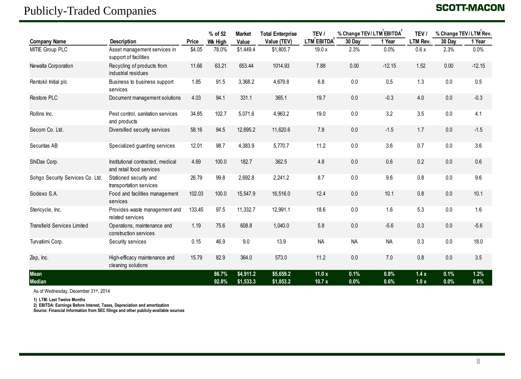### Publicly-Traded Companies

### **SCOTT-MACON**

|                                    |                                                               |        | % of 52        | <b>Market</b>          | <b>Total Enterprise</b> | TEV /             | % Change TEV/LTM EBITDA |              | TEV /        |              | % Change TEV/LTM Rev. |  |
|------------------------------------|---------------------------------------------------------------|--------|----------------|------------------------|-------------------------|-------------------|-------------------------|--------------|--------------|--------------|-----------------------|--|
| <b>Company Name</b>                | <b>Description</b>                                            | Price  | <b>Wk High</b> | Value                  | Value (TEV)             | LTM EBITDA        | 30 Day                  | 1 Year       | LTM Rev.     | 30 Dav       | 1 Year                |  |
| MITIE Group PLC                    | Asset management services in<br>support of facilities         | \$4.05 | 78.0%          | \$1,449.4              | \$1,805.7               | 19.0 x            | 2.3%                    | 0.0%         | 0.6x         | 2.3%         | 0.0%                  |  |
| Newalta Corporation                | Recycling of products from<br>industrial residues             | 11.66  | 63.21          | 653.44                 | 1014.93                 | 7.88              | 0.00                    | $-12.15$     | 1.52         | 0.00         | $-12.15$              |  |
| Rentokil Initial plc               | Business to business support<br>services                      | 1.85   | 91.5           | 3,368.2                | 4,679.8                 | 6.8               | 0.0                     | 0.5          | 1.3          | 0.0          | 0.5                   |  |
| Restore PLC                        | Document management solutions                                 | 4.03   | 94.1           | 331.1                  | 365.1                   | 19.7              | 0.0                     | $-0.3$       | 4.0          | 0.0          | $-0.3$                |  |
| Rollins Inc.                       | Pest control, sanitation services<br>and products             | 34.85  | 102.7          | 5,071.6                | 4,963.2                 | 19.0              | 0.0                     | 3.2          | 3.5          | 0.0          | 4.1                   |  |
| Secom Co. Ltd.                     | Diversified security services                                 | 58.16  | 94.5           | 12,695.2               | 11,620.6                | 7.8               | 0.0                     | $-1.5$       | 1.7          | 0.0          | $-1.5$                |  |
| Securitas AB                       | Specialized guarding services                                 | 12.01  | 98.7           | 4,383.9                | 5,770.7                 | 11.2              | 0.0                     | 3.6          | 0.7          | 0.0          | 3.6                   |  |
| ShiDax Corp.                       | Institutional contracted, medical<br>and retail food services | 4.69   | 100.0          | 182.7                  | 362.5                   | 4.8               | 0.0                     | 0.6          | 0.2          | 0.0          | 0.6                   |  |
| Sohgo Security Services Co. Ltd.   | Stationed security and<br>transportation services             | 26.79  | 99.8           | 2,692.8                | 2,241.2                 | 8.7               | 0.0                     | 9.6          | 0.8          | 0.0          | 9.6                   |  |
| Sodexo S.A.                        | Food and facilities management<br>services                    | 102.03 | 100.0          | 15,547.9               | 16,516.0                | 12.4              | 0.0                     | 10.1         | 0.8          | 0.0          | 10.1                  |  |
| Stericycle, Inc.                   | Provides waste management and<br>related services             | 133.45 | 97.5           | 11,332.7               | 12,991.1                | 18.6              | 0.0                     | 1.6          | 5.3          | 0.0          | 1.6                   |  |
| <b>Transfield Services Limited</b> | Operations, maintenance and<br>construction services          | 1.19   | 75.6           | 608.8                  | 1,040.0                 | 5.8               | 0.0                     | $-5.6$       | 0.3          | 0.0          | $-5.6$                |  |
| Turvatiimi Corp.                   | Security services                                             | 0.15   | 46.9           | 9.0                    | 13.9                    | <b>NA</b>         | <b>NA</b>               | <b>NA</b>    | 0.3          | 0.0          | 18.0                  |  |
| Zep, Inc.                          | High-efficacy maintenance and<br>cleaning solutions           | 15.79  | 82.9           | 364.0                  | 573.0                   | 11.2              | 0.0                     | 7.0          | 0.8          | 0.0          | 3.5                   |  |
| Mean<br>Median                     |                                                               |        | 86.7%<br>92.8% | \$4,911.2<br>\$1,533.3 | \$5,659.2<br>\$1,853.2  | 11.0 $x$<br>10.7x | 0.1%<br>0.0%            | 0.8%<br>0.6% | 1.4x<br>1.0x | 0.1%<br>0.0% | 1.2%<br>0.8%          |  |

As of Wednesday, December 31st, 2014

**1) LTM: Last Twelve Months**

**2) EBITDA: Earnings Before Interest, Taxes, Depreciation and amortization**

**Source: Financial Information from SEC filings and other publicly-available sources**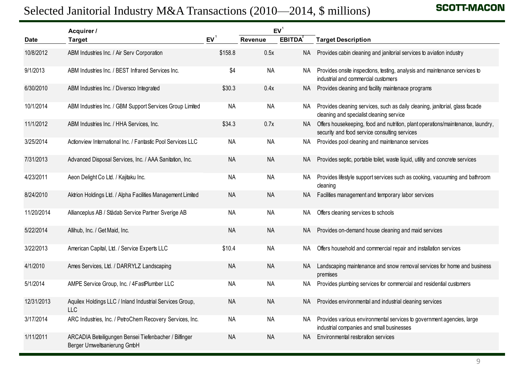|            | Selected Janitorial Industry M&A Transactions (2010—2014, \$ millions)               |           |           |                 | <b>SCOTT-MACOI</b>                                                                                                               |
|------------|--------------------------------------------------------------------------------------|-----------|-----------|-----------------|----------------------------------------------------------------------------------------------------------------------------------|
|            | Acquirer /                                                                           |           |           | EV <sup>1</sup> |                                                                                                                                  |
| Date       | <b>Target</b>                                                                        | $EV^1$    | Revenue   | <b>EBITDA</b>   | <b>Target Description</b>                                                                                                        |
| 10/8/2012  | ABM Industries Inc. / Air Serv Corporation                                           | \$158.8   | 0.5x      | <b>NA</b>       | Provides cabin cleaning and janitorial services to aviation industry                                                             |
| 9/1/2013   | ABM Industries Inc. / BEST Infrared Services Inc.                                    | \$4       | <b>NA</b> | NA.             | Provides onsite inspections, testing, analysis and maintenance services to<br>industrial and commercial customers                |
| 6/30/2010  | ABM Industries Inc. / Diversco Integrated                                            | \$30.3    | 0.4x      | NA              | Provides cleaning and facility maintenace programs                                                                               |
| 10/1/2014  | ABM Industries Inc. / GBM Support Services Group Limited                             | <b>NA</b> | <b>NA</b> | NA              | Provides cleaning services, such as daily cleaning, janitorial, glass facade<br>cleaning and specialist cleaning service         |
| 11/1/2012  | ABM Industries Inc. / HHA Services, Inc.                                             | \$34.3    | 0.7x      | NA              | Offers housekeeping, food and nutrition, plant operations/maintenance, laundry,<br>security and food service consulting services |
| 3/25/2014  | Actionview International Inc. / Fantastic Pool Services LLC                          | <b>NA</b> | <b>NA</b> | NA              | Provides pool cleaning and maintenance services                                                                                  |
| 7/31/2013  | Advanced Disposal Services, Inc. / AAA Sanitation, Inc.                              | <b>NA</b> | <b>NA</b> | <b>NA</b>       | Provides septic, portable toilet, waste liquid, utility and concrete services                                                    |
| 4/23/2011  | Aeon Delight Co Ltd. / Kajitaku Inc.                                                 | <b>NA</b> | <b>NA</b> | NA              | Provides lifestyle support services such as cooking, vacuuming and bathroom<br>cleaning                                          |
| 8/24/2010  | Aktrion Holdings Ltd. / Alpha Facilities Management Limited                          | <b>NA</b> | <b>NA</b> | NA              | Facilities management and temporary labor services                                                                               |
| 11/20/2014 | Allianceplus AB / Städab Service Partner Sverige AB                                  | <b>NA</b> | <b>NA</b> | NA.             | Offers cleaning services to schools                                                                                              |
| 5/22/2014  | Allihub, Inc. / Get Maid, Inc.                                                       | <b>NA</b> | <b>NA</b> | <b>NA</b>       | Provides on-demand house cleaning and maid services                                                                              |
| 3/22/2013  | American Capital, Ltd. / Service Experts LLC                                         | \$10.4    | <b>NA</b> | NA.             | Offers household and commercial repair and installation services                                                                 |
| 4/1/2010   | Ames Services, Ltd. / DARRYLZ Landscaping                                            | <b>NA</b> | <b>NA</b> | <b>NA</b>       | Landscaping maintenance and snow removal services for home and business<br>premises                                              |
| 5/1/2014   | AMPE Service Group, Inc. / 4FastPlumber LLC                                          | <b>NA</b> | <b>NA</b> | ΝA              | Provides plumbing services for commercial and residential customers                                                              |
| 12/31/2013 | Aquilex Holdings LLC / Inland Industrial Services Group,<br><b>LLC</b>               | <b>NA</b> | <b>NA</b> | NA.             | Provides environmental and industrial cleaning services                                                                          |
| 3/17/2014  | ARC Industries, Inc. / PetroChem Recovery Services, Inc.                             | NA        | <b>NA</b> | NA              | Provides various environmental services to government agencies, large<br>industrial companies and small businesses               |
| 1/11/2011  | ARCADIA Beteiligungen Bensei Tiefenbacher / Bilfinger<br>Berger Umweltsanierung GmbH | <b>NA</b> | <b>NA</b> | <b>NA</b>       | Environmental restoration services                                                                                               |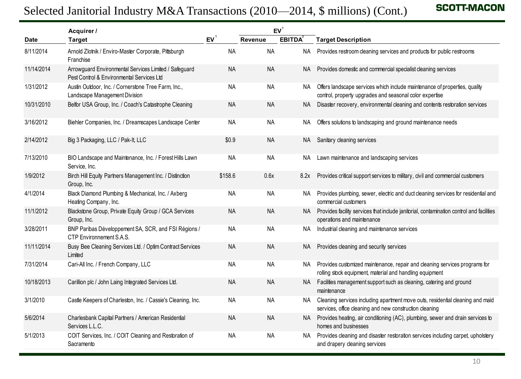|            | Selected Janitorial Industry M&A Transactions (2010—2014, \$ millions) (Cont.)                     |           |           |               | <b>SCOTT-MACON</b>                                                                                                                           |
|------------|----------------------------------------------------------------------------------------------------|-----------|-----------|---------------|----------------------------------------------------------------------------------------------------------------------------------------------|
|            | Acquirer /                                                                                         |           |           | $EV^1$        |                                                                                                                                              |
| Date       | <b>Target</b>                                                                                      | $EV^1$    | Revenue   | <b>EBITDA</b> | <b>Target Description</b>                                                                                                                    |
| 8/11/2014  | Arnold Zlotnik / Enviro-Master Corporate, Pittsburgh<br>Franchise                                  | <b>NA</b> | <b>NA</b> | NA            | Provides restroom cleaning services and products for public restrooms                                                                        |
| 11/14/2014 | Arrowguard Environmental Services Limited / Safeguard<br>Pest Control & Environmental Services Ltd | <b>NA</b> | <b>NA</b> |               | NA Provides domestic and commercial specialist cleaning services                                                                             |
| 1/31/2012  | Austin Outdoor, Inc. / Cornerstone Tree Farm, Inc.,<br>Landscape Management Division               | <b>NA</b> | <b>NA</b> |               | NA Offers landscape services which include maintenance of properties, quality<br>control, property upgrades and seasonal color expertise     |
| 10/31/2010 | Belfor USA Group, Inc. / Coach's Catastrophe Cleaning                                              | <b>NA</b> | NA        | NA.           | Disaster recovery, environmental cleaning and contents restoration services                                                                  |
| 3/16/2012  | Biehler Companies, Inc. / Dreamscapes Landscape Center                                             | <b>NA</b> | <b>NA</b> | NA            | Offers solutions to landscaping and ground maintenance needs                                                                                 |
| 2/14/2012  | Big 3 Packaging, LLC / Pak-It, LLC                                                                 | \$0.9     | <b>NA</b> | NA .          | Sanitary cleaning services                                                                                                                   |
| 7/13/2010  | BIO Landscape and Maintenance, Inc. / Forest Hills Lawn<br>Service, Inc.                           | <b>NA</b> | <b>NA</b> | NA.           | Lawn maintenance and landscaping services                                                                                                    |
| 1/9/2012   | Birch Hill Equity Partners Management Inc. / Distinction<br>Group, Inc.                            | \$158.6   | 0.6x      | 8.2x          | Provides critical support services to military, civil and commercial customers                                                               |
| 4/1/2014   | Black Diamond Plumbing & Mechanical, Inc. / Axberg<br>Heating Company, Inc.                        | <b>NA</b> | <b>NA</b> |               | NA Provides plumbing, sewer, electric and duct cleaning services for residential and<br>commercial customers                                 |
| 11/1/2012  | Blackstone Group, Private Equity Group / GCA Services<br>Group, Inc.                               | <b>NA</b> | <b>NA</b> |               | NA Provides facility services that include janitorial, contamination control and facilities<br>operations and maintenance                    |
| 3/28/2011  | BNP Paribas Développement SA, SCR, and FSI Régions /<br>CTP Environnement S.A.S.                   | <b>NA</b> | <b>NA</b> | NA.           | Industrial cleaning and maintenance services                                                                                                 |
| 11/11/2014 | Busy Bee Cleaning Services Ltd. / Optim Contract Services<br>Limited                               | <b>NA</b> | <b>NA</b> | NA.           | Provides cleaning and security services                                                                                                      |
| 7/31/2014  | Cari-All Inc. / French Company, LLC                                                                | <b>NA</b> | <b>NA</b> |               | NA Provides customized maintenance, repair and cleaning services programs for<br>rolling stock equipment, material and handling equipment    |
| 10/18/2013 | Carillion plc / John Laing Integrated Services Ltd.                                                | <b>NA</b> | <b>NA</b> |               | NA Facilities management support such as cleaning, catering and ground<br>maintenance                                                        |
| 3/1/2010   | Castle Keepers of Charleston, Inc. / Cassie's Cleaning, Inc.                                       | <b>NA</b> | NA        |               | NA Cleaning services including apartment move outs, residential cleaning and maid<br>services, office cleaning and new construction cleaning |
| 5/6/2014   | Charlesbank Capital Partners / American Residential<br>Services L.L.C.                             | <b>NA</b> | <b>NA</b> |               | NA Provides heating, air conditioning (AC), plumbing, sewer and drain services to<br>homes and businesses                                    |
| 5/1/2013   | COIT Services, Inc. / COIT Cleaning and Restoration of<br>Sacramento                               | <b>NA</b> | NA        |               | NA Provides cleaning and disaster restoration services including carpet, upholstery<br>and drapery cleaning services                         |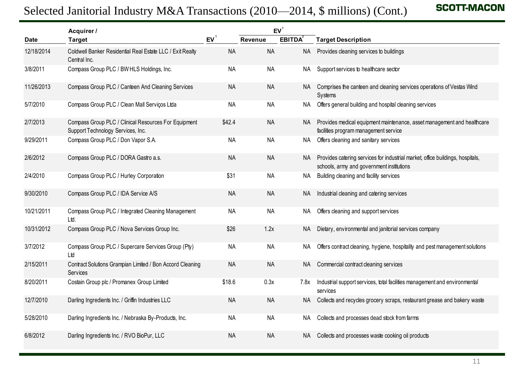|             | Selected Janitorial Industry M&A Transactions (2010—2014, \$ millions) (Cont.)            |           |                |                 | <b>SCOTT-MACOI</b>                                                                                                          |
|-------------|-------------------------------------------------------------------------------------------|-----------|----------------|-----------------|-----------------------------------------------------------------------------------------------------------------------------|
|             | Acquirer /                                                                                |           |                | EV <sup>1</sup> |                                                                                                                             |
| <b>Date</b> | <b>Target</b>                                                                             | $EV^1$    | <b>Revenue</b> | <b>EBITDA</b>   | <b>Target Description</b>                                                                                                   |
| 12/18/2014  | Coldwell Banker Residential Real Estate LLC / Exit Realty<br>Central Inc.                 | <b>NA</b> | <b>NA</b>      | <b>NA</b>       | Provides cleaning services to buildings                                                                                     |
| 3/8/2011    | Compass Group PLC / BW HLS Holdings, Inc.                                                 | <b>NA</b> | <b>NA</b>      | NA .            | Support services to healthcare sector                                                                                       |
| 11/26/2013  | Compass Group PLC / Canteen And Cleaning Services                                         | <b>NA</b> | <b>NA</b>      | NA.             | Comprises the canteen and cleaning services operations of Vestas Wind<br>Systems                                            |
| 5/7/2010    | Compass Group PLC / Clean Mall Serviços Ltda                                              | <b>NA</b> | <b>NA</b>      | NA.             | Offers general building and hospital cleaning services                                                                      |
| 2/7/2013    | Compass Group PLC / Clinical Resources For Equipment<br>Support Technology Services, Inc. | \$42.4    | <b>NA</b>      | NA.             | Provides medical equipment maintenance, asset management and healthcare<br>facilities program management service            |
| 9/29/2011   | Compass Group PLC / Don Vapor S.A.                                                        | <b>NA</b> | <b>NA</b>      | NA .            | Offers cleaning and sanitary services                                                                                       |
| 2/6/2012    | Compass Group PLC / DORA Gastro a.s.                                                      | <b>NA</b> | <b>NA</b>      | NA.             | Provides catering services for industrial market, office buildings, hospitals,<br>schools, army and government institutions |
| 2/4/2010    | Compass Group PLC / Hurley Corporation                                                    | \$31      | <b>NA</b>      | NA.             | Building cleaning and facility services                                                                                     |
| 9/30/2010   | Compass Group PLC / IDA Service A/S                                                       | <b>NA</b> | <b>NA</b>      | NA              | Industrial cleaning and catering services                                                                                   |
| 10/21/2011  | Compass Group PLC / Integrated Cleaning Management<br>Ltd.                                | <b>NA</b> | <b>NA</b>      | NA.             | Offers cleaning and support services                                                                                        |
| 10/31/2012  | Compass Group PLC / Nova Services Group Inc.                                              | \$26      | 1.2x           | NA.             | Dietary, environmental and janitorial services company                                                                      |
| 3/7/2012    | Compass Group PLC / Supercare Services Group (Pty)<br>Ltd                                 | <b>NA</b> | <b>NA</b>      | NA.             | Offers contract cleaning, hygiene, hospitality and pest management solutions                                                |
| 2/15/2011   | Contract Solutions Grampian Limited / Bon Accord Cleaning<br>Services                     | <b>NA</b> | <b>NA</b>      | NA.             | Commercial contract cleaning services                                                                                       |
| 8/20/2011   | Costain Group plc / Promanex Group Limited                                                | \$18.6    | 0.3x           | 7.8x            | Industrial support services, total facilities management and environmental<br>services                                      |
| 12/7/2010   | Darling Ingredients Inc. / Griffin Industries LLC                                         | <b>NA</b> | <b>NA</b>      | NA              | Collects and recycles grocery scraps, restaurant grease and bakery waste                                                    |
| 5/28/2010   | Darling Ingredients Inc. / Nebraska By-Products, Inc.                                     | NA        | <b>NA</b>      | NA              | Collects and processes dead stock from farms                                                                                |
| 6/8/2012    | Darling Ingredients Inc. / RVO BioPur, LLC                                                | <b>NA</b> | <b>NA</b>      | NA.             | Collects and processes waste cooking oil products                                                                           |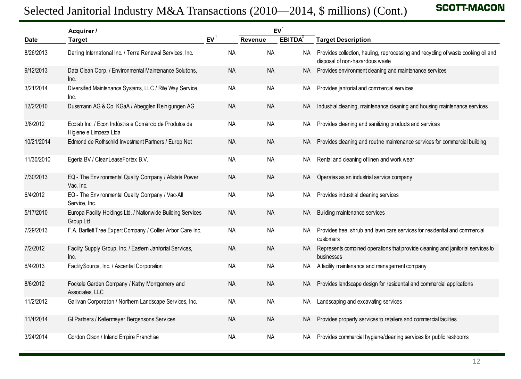|            | Acquirer /                                                                       |                |           | EV <sup>1</sup> |                                                                                                                      |
|------------|----------------------------------------------------------------------------------|----------------|-----------|-----------------|----------------------------------------------------------------------------------------------------------------------|
| Date       | Target                                                                           | $EV^{\dagger}$ | Revenue   | <b>EBITDA</b>   | <b>Target Description</b>                                                                                            |
| 8/26/2013  | Darling International Inc. / Terra Renewal Services, Inc.                        | <b>NA</b>      | <b>NA</b> | NA .            | Provides collection, hauling, reprocessing and recycling of waste cooking oil and<br>disposal of non-hazardous waste |
| 9/12/2013  | Data Clean Corp. / Environmental Maintenance Solutions,<br>Inc.                  | <b>NA</b>      | <b>NA</b> |                 | NA Provides environment cleaning and maintenance services                                                            |
| 3/21/2014  | Diversified Maintenance Systems, LLC / Rite Way Service,<br>Inc.                 | ΝA             | NA        | NA.             | Provides janitorial and commercial services                                                                          |
| 12/2/2010  | Dussmann AG & Co. KGaA / Abegglen Reinigungen AG                                 | NA             | <b>NA</b> | NA.             | Industrial cleaning, maintenance cleaning and housing maintenance services                                           |
| 3/8/2012   | Ecolab Inc. / Econ Indústria e Comércio de Produtos de<br>Higiene e Limpeza Ltda | <b>NA</b>      | NA        | NA.             | Provides cleaning and sanitizing products and services                                                               |
| 10/21/2014 | Edmond de Rothschild Investment Partners / Europ Net                             | <b>NA</b>      | <b>NA</b> | NA.             | Provides cleaning and routine maintenance services for commercial building                                           |
| 11/30/2010 | Egeria BV / CleanLeaseFortex B.V.                                                | <b>NA</b>      | NA        | NA.             | Rental and cleaning of linen and work wear                                                                           |
| 7/30/2013  | EQ - The Environmental Quality Company / Allstate Power<br>Vac, Inc.             | NA             | <b>NA</b> | NA.             | Operates as an industrial service company                                                                            |
| 6/4/2012   | EQ - The Environmental Quality Company / Vac-All<br>Service, Inc.                | <b>NA</b>      | NA        | NA.             | Provides industrial cleaning services                                                                                |
| 5/17/2010  | Europa Facility Holdings Ltd. / Nationwide Building Services<br>Group Ltd.       | <b>NA</b>      | <b>NA</b> | NA.             | Building maintenance services                                                                                        |
| 7/29/2013  | F.A. Bartlett Tree Expert Company / Collier Arbor Care Inc.                      | <b>NA</b>      | NA        | NA              | Provides tree, shrub and lawn care services for residential and commercial<br>customers                              |
| 7/2/2012   | Facility Supply Group, Inc. / Eastern Janitorial Services,<br>Inc.               | NA             | <b>NA</b> |                 | Represents combined operations that provide cleaning and janitorial services to<br>businesses                        |
| 6/4/2013   | Facility Source, Inc. / Ascential Corporation                                    | <b>NA</b>      | <b>NA</b> | NA.             | A facility maintenance and management company                                                                        |
| 8/6/2012   | Fockele Garden Company / Kathy Montgomery and<br>Associates, LLC                 | <b>NA</b>      | NA        | NA.             | Provides landscape design for residential and commercial applications                                                |
| 11/2/2012  | Gallivan Corporation / Northern Landscape Services, Inc.                         | <b>NA</b>      | NA        | NA              | Landscaping and excavating services                                                                                  |
| 11/4/2014  | GI Partners / Kellermeyer Bergensons Services                                    | <b>NA</b>      | <b>NA</b> | NA.             | Provides property services to retailers and commercial facilities                                                    |
| 3/24/2014  | Gordon Olson / Inland Empire Franchise                                           | <b>NA</b>      | NA        | NA              | Provides commercial hygiene/cleaning services for public restrooms                                                   |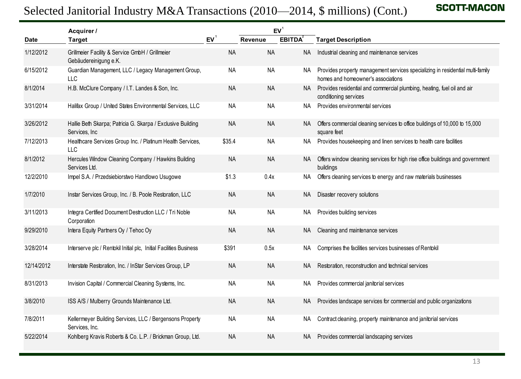|            | Acquirer /                                                                    |           |           | EV <sup>1</sup> |                                                                                                                      |
|------------|-------------------------------------------------------------------------------|-----------|-----------|-----------------|----------------------------------------------------------------------------------------------------------------------|
| Date       | <b>Target</b>                                                                 | EV        | Revenue   | <b>EBITDA</b>   | <b>Target Description</b>                                                                                            |
| 1/12/2012  | Grillmeier Facility & Service GmbH / Grillmeier<br>Gebäudereinigung e.K.      | <b>NA</b> | <b>NA</b> | <b>NA</b>       | Industrial cleaning and maintenance services                                                                         |
| 6/15/2012  | Guardian Management, LLC / Legacy Management Group,<br>LLC                    | <b>NA</b> | <b>NA</b> | NA .            | Provides property management services specializing in residential multi-family<br>homes and homeowner's associations |
| 8/1/2014   | H.B. McClure Company / I.T. Landes & Son, Inc.                                | <b>NA</b> | <b>NA</b> | NA              | Provides residential and commercial plumbing, heating, fuel oil and air<br>conditioning services                     |
| 3/31/2014  | Halifax Group / United States Environmental Services, LLC                     | <b>NA</b> | <b>NA</b> | <b>NA</b>       | Provides environmental services                                                                                      |
| 3/26/2012  | Hallie Beth Skarpa; Patricia G. Skarpa / Exclusive Building<br>Services, Inc. | <b>NA</b> | <b>NA</b> | NA.             | Offers commercial cleaning services to office buildings of 10,000 to 15,000<br>square feet                           |
| 7/12/2013  | Healthcare Services Group Inc. / Platinum Health Services,<br>LLC             | \$35.4    | <b>NA</b> | NA.             | Provides housekeeping and linen services to health care facilities                                                   |
| 8/1/2012   | Hercules Window Cleaning Company / Hawkins Building<br>Services Ltd.          | <b>NA</b> | <b>NA</b> | NA.             | Offers window cleaning services for high rise office buildings and government<br>buildings                           |
| 12/2/2010  | Impel S.A. / Przedsiebiorstwo Handlowo Usugowe                                | \$1.3     | 0.4x      | NA.             | Offers cleaning services to energy and raw materials businesses                                                      |
| 1/7/2010   | Instar Services Group, Inc. / B. Poole Restoration, LLC                       | <b>NA</b> | <b>NA</b> | NA              | Disaster recovery solutions                                                                                          |
| 3/11/2013  | Integra Certified Document Destruction LLC / Tri Noble<br>Corporation         | <b>NA</b> | <b>NA</b> | NA.             | Provides building services                                                                                           |
| 9/29/2010  | Intera Equity Partners Oy / Tehoc Oy                                          | <b>NA</b> | <b>NA</b> | NA.             | Cleaning and maintenance services                                                                                    |
| 3/28/2014  | Interserve plc / Rentokil Initial plc, Initial Facilities Business            | \$391     | 0.5x      | NA.             | Comprises the facilities services businesses of Rentokil                                                             |
| 12/14/2012 | Interstate Restoration, Inc. / InStar Services Group, LP                      | <b>NA</b> | <b>NA</b> | NA              | Restoration, reconstruction and technical services                                                                   |
| 8/31/2013  | Invision Capital / Commercial Cleaning Systems, Inc.                          | <b>NA</b> | <b>NA</b> | ΝA              | Provides commercial janitorial services                                                                              |
| 3/8/2010   | ISS A/S / Mulberry Grounds Maintenance Ltd.                                   | <b>NA</b> | <b>NA</b> | NA.             | Provides landscape services for commercial and public organizations                                                  |
| 7/8/2011   | Kellermeyer Building Services, LLC / Bergensons Property<br>Services, Inc.    | <b>NA</b> | <b>NA</b> | NA              | Contract cleaning, property maintenance and janitorial services                                                      |
| 5/22/2014  | Kohlberg Kravis Roberts & Co. L.P. / Brickman Group, Ltd.                     | <b>NA</b> | <b>NA</b> | NA              | Provides commercial landscaping services                                                                             |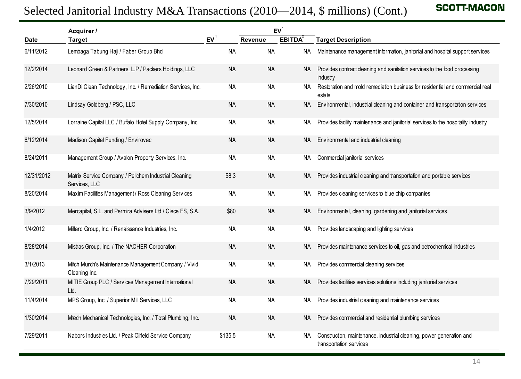|             | Selected Janitorial Industry M&A Transactions (2010—2014, \$ millions) (Cont.) |           |                            |               | <b>SCOTT-MACOI</b>                                                                              |
|-------------|--------------------------------------------------------------------------------|-----------|----------------------------|---------------|-------------------------------------------------------------------------------------------------|
| <b>Date</b> | Acquirer /<br><b>Target</b>                                                    | $EV^1$    | EV <sup>1</sup><br>Revenue | <b>EBITDA</b> | <b>Target Description</b>                                                                       |
| 6/11/2012   | Lembaga Tabung Haji / Faber Group Bhd                                          | <b>NA</b> | <b>NA</b>                  | <b>NA</b>     | Maintenance management information, janitorial and hospital support services                    |
| 12/2/2014   | Leonard Green & Partners, L.P / Packers Holdings, LLC                          | <b>NA</b> | <b>NA</b>                  | <b>NA</b>     | Provides contract cleaning and sanitation services to the food processing<br>industry           |
| 2/26/2010   | LianDi Clean Technology, Inc. / Remediation Services, Inc.                     | <b>NA</b> | <b>NA</b>                  | NA.           | Restoration and mold remediation business for residential and commercial real<br>estate         |
| 7/30/2010   | Lindsay Goldberg / PSC, LLC                                                    | <b>NA</b> | <b>NA</b>                  | <b>NA</b>     | Environmental, industrial cleaning and container and transportation services                    |
| 12/5/2014   | Lorraine Capital LLC / Buffalo Hotel Supply Company, Inc.                      | <b>NA</b> | <b>NA</b>                  | ΝA            | Provides facility maintenance and janitorial services to the hospitality industry               |
| 6/12/2014   | Madison Capital Funding / Envirovac                                            | <b>NA</b> | <b>NA</b>                  | <b>NA</b>     | Environmental and industrial cleaning                                                           |
| 8/24/2011   | Management Group / Avalon Property Services, Inc.                              | <b>NA</b> | <b>NA</b>                  | ΝA            | Commercial janitorial services                                                                  |
| 12/31/2012  | Matrix Service Company / Pelichem Industrial Cleaning<br>Services, LLC         | \$8.3     | <b>NA</b>                  | <b>NA</b>     | Provides industrial cleaning and transportation and portable services                           |
| 8/20/2014   | Maxim Facilities Management / Ross Cleaning Services                           | <b>NA</b> | <b>NA</b>                  | ΝA            | Provides cleaning services to blue chip companies                                               |
| 3/9/2012    | Mercapital, S.L. and Permira Advisers Ltd / Clece FS, S.A.                     | \$80      | <b>NA</b>                  | <b>NA</b>     | Environmental, cleaning, gardening and janitorial services                                      |
| 1/4/2012    | Millard Group, Inc. / Renaissance Industries, Inc.                             | <b>NA</b> | <b>NA</b>                  | ΝA            | Provides landscaping and lighting services                                                      |
| 8/28/2014   | Mistras Group, Inc. / The NACHER Corporation                                   | <b>NA</b> | <b>NA</b>                  | <b>NA</b>     | Provides maintenance services to oil, gas and petrochemical industries                          |
| 3/1/2013    | Mitch Murch's Maintenance Management Company / Vivid<br>Cleaning Inc.          | <b>NA</b> | <b>NA</b>                  | ΝA            | Provides commercial cleaning services                                                           |
| 7/29/2011   | MITIE Group PLC / Services Management International<br>Ltd.                    | <b>NA</b> | <b>NA</b>                  | <b>NA</b>     | Provides facilities services solutions including janitorial services                            |
| 11/4/2014   | MPS Group, Inc. / Superior Mill Services, LLC                                  | <b>NA</b> | <b>NA</b>                  | NA            | Provides industrial cleaning and maintenance services                                           |
| 1/30/2014   | Mtech Mechanical Technologies, Inc. / Total Plumbing, Inc.                     | <b>NA</b> | <b>NA</b>                  | <b>NA</b>     | Provides commercial and residential plumbing services                                           |
| 7/29/2011   | Nabors Industries Ltd. / Peak Oilfield Service Company                         | \$135.5   | NA                         | NA            | Construction, maintenance, industrial cleaning, power generation and<br>transportation services |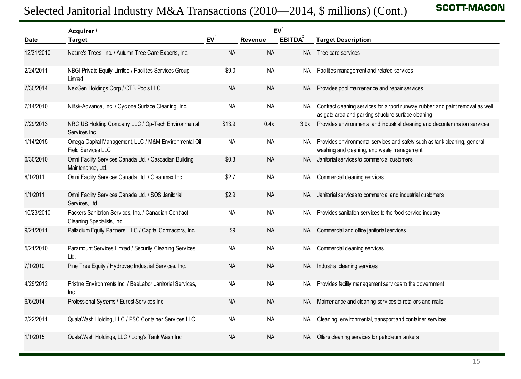|            | Acquirer /                                                                          |           |           | EV <sup>1</sup> |                                                                                                                                       |
|------------|-------------------------------------------------------------------------------------|-----------|-----------|-----------------|---------------------------------------------------------------------------------------------------------------------------------------|
| Date       | <b>Target</b>                                                                       | $EV^1$    | Revenue   | <b>EBITDA</b>   | <b>Target Description</b>                                                                                                             |
| 12/31/2010 | Nature's Trees, Inc. / Autumn Tree Care Experts, Inc.                               | <b>NA</b> | <b>NA</b> | <b>NA</b>       | Tree care services                                                                                                                    |
| 2/24/2011  | NBGI Private Equity Limited / Facilities Services Group<br>Limited                  | \$9.0     | <b>NA</b> | NA.             | Facilities management and related services                                                                                            |
| 7/30/2014  | NexGen Holdings Corp / CTB Pools LLC                                                | <b>NA</b> | <b>NA</b> | NA              | Provides pool maintenance and repair services                                                                                         |
| 7/14/2010  | Nilfisk-Advance, Inc. / Cyclone Surface Cleaning, Inc.                              | <b>NA</b> | <b>NA</b> | NA              | Contract cleaning services for airport runway rubber and paint removal as well<br>as gate area and parking structure surface cleaning |
| 7/29/2013  | NRC US Holding Company LLC / Op-Tech Environmental<br>Services Inc.                 | \$13.9    | 0.4x      | 3.9x            | Provides environmental and industrial cleaning and decontamination services                                                           |
| 1/14/2015  | Omega Capital Management, LLC / M&M Environmental Oil<br>Field Services LLC         | <b>NA</b> | <b>NA</b> | NA              | Provides environmental services and safety such as tank cleaning, general<br>washing and cleaning, and waste management               |
| 6/30/2010  | Omni Facility Services Canada Ltd. / Cascadian Building<br>Maintenance, Ltd.        | \$0.3     | <b>NA</b> | <b>NA</b>       | Janitorial services to commercial customers                                                                                           |
| 8/1/2011   | Omni Facility Services Canada Ltd. / Cleanmax Inc.                                  | \$2.7     | <b>NA</b> | NA.             | Commercial cleaning services                                                                                                          |
| 1/1/2011   | Omni Facility Services Canada Ltd. / SOS Janitorial<br>Services, Ltd.               | \$2.9     | <b>NA</b> | <b>NA</b>       | Janitorial services to commercial and industrial customers                                                                            |
| 10/23/2010 | Packers Sanitation Services, Inc. / Canadian Contract<br>Cleaning Specialists, Inc. | <b>NA</b> | <b>NA</b> | NA.             | Provides sanitation services to the food service industry                                                                             |
| 9/21/2011  | Palladium Equity Partners, LLC / Capital Contractors, Inc.                          | \$9       | <b>NA</b> | NA              | Commercial and office janitorial services                                                                                             |
| 5/21/2010  | Paramount Services Limited / Security Cleaning Services<br>Ltd.                     | <b>NA</b> | <b>NA</b> | NA.             | Commercial cleaning services                                                                                                          |
| 7/1/2010   | Pine Tree Equity / Hydrovac Industrial Services, Inc.                               | <b>NA</b> | <b>NA</b> | NA              | Industrial cleaning services                                                                                                          |
| 4/29/2012  | Pristine Environments Inc. / BeeLabor Janitorial Services,<br>Inc.                  | <b>NA</b> | <b>NA</b> | NА              | Provides facility management services to the government                                                                               |
| 6/6/2014   | Professional Systems / Eurest Services Inc.                                         | <b>NA</b> | $\sf NA$  | NA              | Maintenance and cleaning services to retailors and malls                                                                              |
| 2/22/2011  | QualaWash Holding, LLC / PSC Container Services LLC                                 | NA        | NA        | NA.             | Cleaning, environmental, transport and container services                                                                             |
| 1/1/2015   | QualaWash Holdings, LLC / Long's Tank Wash Inc.                                     | <b>NA</b> | <b>NA</b> | NA.             | Offers cleaning services for petroleum tankers                                                                                        |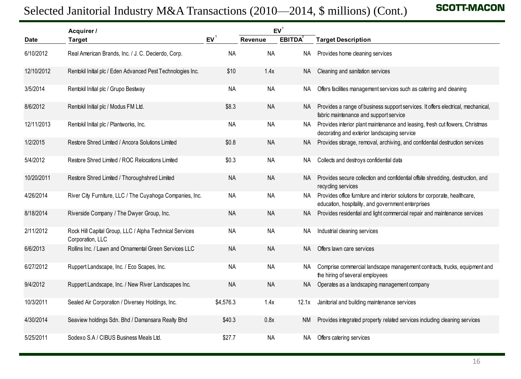| <b>SCOTT-MACON</b><br>Selected Janitorial Industry M&A Transactions (2010—2014, \$ millions) (Cont.) |                                                                             |           |                 |               |                                                                                                                                   |  |  |
|------------------------------------------------------------------------------------------------------|-----------------------------------------------------------------------------|-----------|-----------------|---------------|-----------------------------------------------------------------------------------------------------------------------------------|--|--|
|                                                                                                      | Acquirer /                                                                  |           | EV <sup>1</sup> |               |                                                                                                                                   |  |  |
| <b>Date</b>                                                                                          | <b>Target</b>                                                               | EV        | Revenue         | <b>EBITDA</b> | <b>Target Description</b>                                                                                                         |  |  |
| 6/10/2012                                                                                            | Real American Brands, Inc. / J. C. Decierdo, Corp.                          | <b>NA</b> | <b>NA</b>       | NA            | Provides home cleaning services                                                                                                   |  |  |
| 12/10/2012                                                                                           | Rentokil Initial plc / Eden Advanced Pest Technologies Inc.                 | \$10      | 1.4x            | NA            | Cleaning and sanitation services                                                                                                  |  |  |
| 3/5/2014                                                                                             | Rentokil Initial plc / Grupo Bestway                                        | <b>NA</b> | NA              | NA.           | Offers facilities management services such as catering and cleaning                                                               |  |  |
| 8/6/2012                                                                                             | Rentokil Initial plc / Modus FM Ltd.                                        | \$8.3     | <b>NA</b>       | NA.           | Provides a range of business support services. It offers electrical, mechanical,<br>fabric maintenance and support service        |  |  |
| 12/11/2013                                                                                           | Rentokil Initial plc / Plantworks, Inc.                                     | <b>NA</b> | <b>NA</b>       | NA.           | Provides interior plant maintenance and leasing, fresh cut flowers, Christmas<br>decorating and exterior landscaping service      |  |  |
| 1/2/2015                                                                                             | Restore Shred Limited / Ancora Solutions Limited                            | \$0.8     | <b>NA</b>       | NA.           | Provides storage, removal, archiving, and confidential destruction services                                                       |  |  |
| 5/4/2012                                                                                             | Restore Shred Limited / ROC Relocations Limited                             | \$0.3     | NA              | NA.           | Collects and destroys confidential data                                                                                           |  |  |
| 10/20/2011                                                                                           | Restore Shred Limited / Thoroughshred Limited                               | <b>NA</b> | <b>NA</b>       | NA.           | Provides secure collection and confidential offsite shredding, destruction, and<br>recycling services                             |  |  |
| 4/26/2014                                                                                            | River City Furniture, LLC / The Cuyahoga Companies, Inc.                    | <b>NA</b> | <b>NA</b>       | NA .          | Provides office furniture and interior solutions for corporate, healthcare,<br>education, hospitality, and government enterprises |  |  |
| 8/18/2014                                                                                            | Riverside Company / The Dwyer Group, Inc.                                   | <b>NA</b> | <b>NA</b>       | NA            | Provides residential and light commercial repair and maintenance services                                                         |  |  |
| 2/11/2012                                                                                            | Rock Hill Capital Group, LLC / Alpha Technical Services<br>Corporation, LLC | <b>NA</b> | NA              | NA            | Industrial cleaning services                                                                                                      |  |  |
| 6/6/2013                                                                                             | Rollins Inc. / Lawn and Ornamental Green Services LLC                       | <b>NA</b> | <b>NA</b>       | NA            | Offers lawn care services                                                                                                         |  |  |
| 6/27/2012                                                                                            | Ruppert Landscape, Inc. / Eco Scapes, Inc.                                  | <b>NA</b> | <b>NA</b>       | NA.           | Comprise commercial landscape management contracts, trucks, equipment and<br>the hiring of several employees                      |  |  |
| 9/4/2012                                                                                             | Ruppert Landscape, Inc. / New River Landscapes Inc.                         | <b>NA</b> | <b>NA</b>       | NA            | Operates as a landscaping management company                                                                                      |  |  |
| 10/3/2011                                                                                            | Sealed Air Corporation / Diversey Holdings, Inc.                            | \$4,576.3 | 1.4x            | 12.1x         | Janitorial and building maintenance services                                                                                      |  |  |
| 4/30/2014                                                                                            | Seaview holdings Sdn. Bhd / Damansara Realty Bhd                            | \$40.3    | 0.8x            | <b>NM</b>     | Provides integrated property related services including cleaning services                                                         |  |  |
| 5/25/2011                                                                                            | Sodexo S.A / CIBUS Business Meals Ltd.                                      | \$27.7    | NA              | NA            | Offers catering services                                                                                                          |  |  |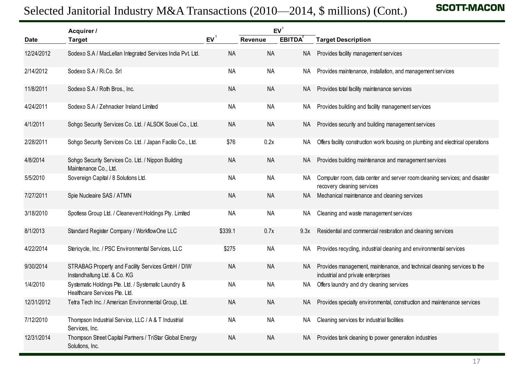|            | Acquirer /<br><b>Target</b>                                                           |           | EV <sup>1</sup> |               |                                                                                                                |
|------------|---------------------------------------------------------------------------------------|-----------|-----------------|---------------|----------------------------------------------------------------------------------------------------------------|
| Date       |                                                                                       | $EV^1$    | Revenue         | <b>EBITDA</b> | <b>Target Description</b>                                                                                      |
| 12/24/2012 | Sodexo S.A / MacLellan Integrated Services India Pvt. Ltd.                            | <b>NA</b> | <b>NA</b>       | <b>NA</b>     | Provides facility management services                                                                          |
| 2/14/2012  | Sodexo S.A / Ri.Co. Srl                                                               | <b>NA</b> | <b>NA</b>       | NA            | Provides maintenance, installation, and management services                                                    |
| 11/8/2011  | Sodexo S.A / Roth Bros., Inc.                                                         | <b>NA</b> | <b>NA</b>       | NA            | Provides total facility maintenance services                                                                   |
| 4/24/2011  | Sodexo S.A / Zehnacker Ireland Limited                                                | <b>NA</b> | <b>NA</b>       | NA.           | Provides building and facility management services                                                             |
| 4/1/2011   | Sohgo Security Services Co. Ltd. / ALSOK Souei Co., Ltd.                              | <b>NA</b> | <b>NA</b>       | <b>NA</b>     | Provides security and building management services                                                             |
| 2/28/2011  | Sohgo Security Services Co. Ltd. / Japan Facilio Co., Ltd.                            | \$76      | 0.2x            | NA.           | Offers facility construction work focusing on plumbing and electrical operations                               |
| 4/8/2014   | Sohgo Security Services Co. Ltd. / Nippon Building<br>Maintenance Co., Ltd.           | <b>NA</b> | <b>NA</b>       | NА            | Provides building maintenance and management services                                                          |
| 5/5/2010   | Sovereign Capital / 8 Solutions Ltd.                                                  | <b>NA</b> | <b>NA</b>       | NA.           | Computer room, data center and server room cleaning services; and disaster<br>recovery cleaning services       |
| 7/27/2011  | Spie Nucleaire SAS / ATMN                                                             | <b>NA</b> | <b>NA</b>       | NA            | Mechanical maintenance and cleaning services                                                                   |
| 3/18/2010  | Spotless Group Ltd. / Cleanevent Holdings Pty. Limited                                | <b>NA</b> | <b>NA</b>       | NA.           | Cleaning and waste management services                                                                         |
| 8/1/2013   | Standard Register Company / WorkflowOne LLC                                           | \$339.1   | 0.7x            | 9.3x          | Residential and commercial restoration and cleaning services                                                   |
| 4/22/2014  | Stericycle, Inc. / PSC Environmental Services, LLC                                    | \$275     | <b>NA</b>       | NA.           | Provides recycling, industrial cleaning and environmental services                                             |
| 9/30/2014  | STRABAG Property and Facility Services GmbH / DIW<br>Instandhaltung Ltd. & Co. KG     | <b>NA</b> | <b>NA</b>       | NA            | Provides management, maintenance, and technical cleaning services to the<br>industrial and private enterprises |
| 1/4/2010   | Systematic Holdings Pte. Ltd. / Systematic Laundry &<br>Healthcare Services Pte. Ltd. | <b>NA</b> | <b>NA</b>       | NA            | Offers laundry and dry cleaning services                                                                       |
| 12/31/2012 | Tetra Tech Inc. / American Environmental Group, Ltd.                                  | <b>NA</b> | <b>NA</b>       | NA.           | Provides specialty environmental, construction and maintenance services                                        |
| 7/12/2010  | Thompson Industrial Service, LLC / A & T Industrial<br>Services, Inc.                 | <b>NA</b> | <b>NA</b>       | NA            | Cleaning services for industrial facilities                                                                    |
| 12/31/2014 | Thompson Street Capital Partners / TriStar Global Energy<br>Solutions, Inc.           | <b>NA</b> | <b>NA</b>       | NA            | Provides tank cleaning to power generation industries                                                          |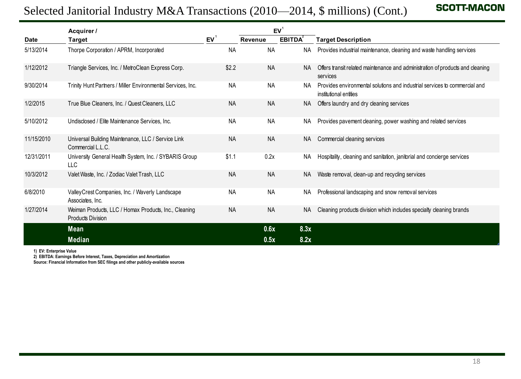### Selected Janitorial Industry M&A Transactions (2010—2014, \$ millions) (Cont.)

| <b>SCOTT-MACOI</b><br>Selected Janitorial Industry M&A Transactions (2010—2014, \$ millions) (Cont.) |                                                                                   |           |                |                                  |                                                                                                      |  |  |
|------------------------------------------------------------------------------------------------------|-----------------------------------------------------------------------------------|-----------|----------------|----------------------------------|------------------------------------------------------------------------------------------------------|--|--|
| <b>Date</b>                                                                                          | Acquirer /<br>Target                                                              | $EV^1$    | <b>Revenue</b> | EV <sup>1</sup><br><b>EBITDA</b> | <b>Target Description</b>                                                                            |  |  |
| 5/13/2014                                                                                            | Thorpe Corporation / APRM, Incorporated                                           | <b>NA</b> | <b>NA</b>      | ΝA                               | Provides industrial maintenance, cleaning and waste handling services                                |  |  |
| 1/12/2012                                                                                            | Triangle Services, Inc. / MetroClean Express Corp.                                | \$2.2     | <b>NA</b>      | NA.                              | Offers transit related maintenance and administration of products and cleaning<br>services           |  |  |
| 9/30/2014                                                                                            | Trinity Hunt Partners / Miller Environmental Services, Inc.                       | <b>NA</b> | <b>NA</b>      | NA.                              | Provides environmental solutions and industrial services to commercial and<br>institutional entities |  |  |
| 1/2/2015                                                                                             | True Blue Cleaners, Inc. / Quest Cleaners, LLC                                    | <b>NA</b> | <b>NA</b>      | NA.                              | Offers laundry and dry cleaning services                                                             |  |  |
| 5/10/2012                                                                                            | Undisclosed / Elite Maintenance Services, Inc.                                    | <b>NA</b> | <b>NA</b>      | NA.                              | Provides pavement cleaning, power washing and related services                                       |  |  |
| 11/15/2010                                                                                           | Universal Building Maintenance, LLC / Service Link<br>Commercial L.L.C.           | <b>NA</b> | <b>NA</b>      | NA.                              | Commercial cleaning services                                                                         |  |  |
| 12/31/2011                                                                                           | University General Health System, Inc. / SYBARIS Group<br>LLC                     | \$1.1     | 0.2x           | NA.                              | Hospitality, cleaning and sanitation, janitorial and concierge services                              |  |  |
| 10/3/2012                                                                                            | Valet Waste, Inc. / Zodiac Valet Trash, LLC                                       | <b>NA</b> | <b>NA</b>      | NA.                              | Waste removal, clean-up and recycling services                                                       |  |  |
| 6/8/2010                                                                                             | Valley Crest Companies, Inc. / Waverly Landscape<br>Associates, Inc.              | <b>NA</b> | <b>NA</b>      | NA.                              | Professional landscaping and snow removal services                                                   |  |  |
| 1/27/2014                                                                                            | Weiman Products, LLC / Homax Products, Inc., Cleaning<br><b>Products Division</b> | <b>NA</b> | <b>NA</b>      | NA.                              | Cleaning products division which includes specialty cleaning brands                                  |  |  |
|                                                                                                      | <b>Mean</b>                                                                       |           | 0.6x           | 8.3x                             |                                                                                                      |  |  |
|                                                                                                      | <b>Median</b>                                                                     |           | 0.5x           | 8.2x                             |                                                                                                      |  |  |

**1) EV: Enterprise Value**

**2) EBITDA: Earnings Before Interest, Taxes, Depreciation and Amortization**

**Source: Financial Information from SEC filings and other publicly-available sources**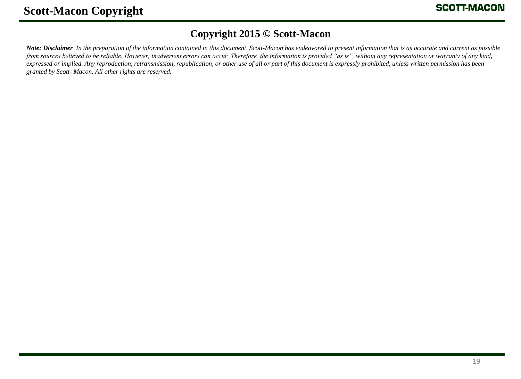### **Copyright 2015 © Scott-Macon**

*Note: Disclaimer In the preparation of the information contained in this document, Scott-Macon has endeavored to present information that is as accurate and current as possible from sources believed to be reliable. However, inadvertent errors can occur. Therefore, the information is provided "as is", without any representation or warranty of any kind, expressed or implied. Any reproduction, retransmission, republication, or other use of all or part of this document is expressly prohibited, unless written permission has been granted by Scott- Macon. All other rights are reserved.*